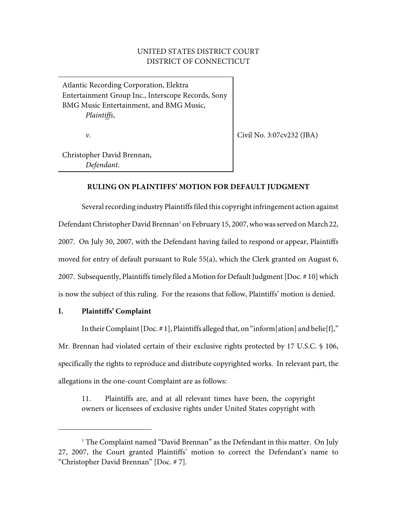# UNITED STATES DISTRICT COURT DISTRICT OF CONNECTICUT

Atlantic Recording Corporation, Elektra Entertainment Group Inc., Interscope Records, Sony BMG Music Entertainment, and BMG Music, *Plaintiffs*,

*v.*

Civil No. 3:07cv232 (JBA)

Christopher David Brennan, *Defendant*.

# **RULING ON PLAINTIFFS' MOTION FOR DEFAULT JUDGMENT**

Several recording industry Plaintiffs filed this copyright infringement action against Defendant Christopher David Brennan<sup>1</sup> on February 15, 2007, who was served on March 22, 2007. On July 30, 2007, with the Defendant having failed to respond or appear, Plaintiffs moved for entry of default pursuant to Rule 55(a), which the Clerk granted on August 6, 2007. Subsequently, Plaintiffs timely filed a Motion for Default Judgment [Doc. # 10] which is now the subject of this ruling. For the reasons that follow, Plaintiffs' motion is denied.

### **I. Plaintiffs' Complaint**

In their Complaint [Doc.  $\#$  1], Plaintiffs alleged that, on "inform[ation] and belie[f]," Mr. Brennan had violated certain of their exclusive rights protected by 17 U.S.C. § 106, specifically the rights to reproduce and distribute copyrighted works. In relevant part, the allegations in the one-count Complaint are as follows:

11. Plaintiffs are, and at all relevant times have been, the copyright owners or licensees of exclusive rights under United States copyright with

 $1$  The Complaint named "David Brennan" as the Defendant in this matter. On July 27, 2007, the Court granted Plaintiffs' motion to correct the Defendant's name to "Christopher David Brennan" [Doc. # 7].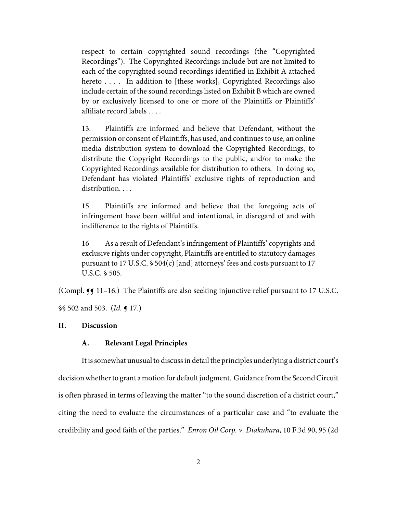respect to certain copyrighted sound recordings (the "Copyrighted Recordings"). The Copyrighted Recordings include but are not limited to each of the copyrighted sound recordings identified in Exhibit A attached hereto . . . . In addition to [these works], Copyrighted Recordings also include certain of the sound recordings listed on Exhibit B which are owned by or exclusively licensed to one or more of the Plaintiffs or Plaintiffs' affiliate record labels . . . .

13. Plaintiffs are informed and believe that Defendant, without the permission or consent of Plaintiffs, has used, and continues to use, an online media distribution system to download the Copyrighted Recordings, to distribute the Copyright Recordings to the public, and/or to make the Copyrighted Recordings available for distribution to others. In doing so, Defendant has violated Plaintiffs' exclusive rights of reproduction and distribution...

15. Plaintiffs are informed and believe that the foregoing acts of infringement have been willful and intentional, in disregard of and with indifference to the rights of Plaintiffs.

16 As a result of Defendant's infringement of Plaintiffs' copyrights and exclusive rights under copyright, Plaintiffs are entitled to statutory damages pursuant to 17 U.S.C. § 504(c) [and] attorneys' fees and costs pursuant to 17 U.S.C. § 505.

(Compl.  $\P$  11–16.) The Plaintiffs are also seeking injunctive relief pursuant to 17 U.S.C.

§§ 502 and 503. (*Id.* ¶ 17.)

### **II. Discussion**

### **A. Relevant Legal Principles**

It is somewhat unusual to discuss in detail the principles underlying a district court's decision whether to grant a motion for default judgment. Guidance from the Second Circuit is often phrased in terms of leaving the matter "to the sound discretion of a district court," citing the need to evaluate the circumstances of a particular case and "to evaluate the credibility and good faith of the parties." *Enron Oil Corp. v. Diakuhara*, 10 F.3d 90, 95 (2d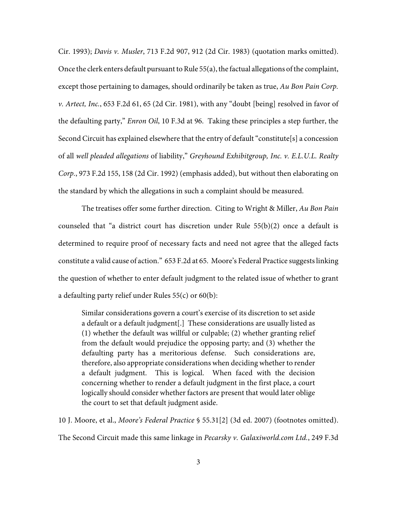Cir. 1993); *Davis v. Musler*, 713 F.2d 907, 912 (2d Cir. 1983) (quotation marks omitted). Once the clerk enters default pursuant to Rule  $55(a)$ , the factual allegations of the complaint, except those pertaining to damages, should ordinarily be taken as true, *Au Bon Pain Corp. v. Artect, Inc.*, 653 F.2d 61, 65 (2d Cir. 1981), with any "doubt [being] resolved in favor of the defaulting party," *Enron Oil*, 10 F.3d at 96. Taking these principles a step further, the Second Circuit has explained elsewhere that the entry of default "constitute[s] a concession of all *well pleaded allegations* of liability," *Greyhound Exhibitgroup, Inc. v. E.L.U.L. Realty Corp.*, 973 F.2d 155, 158 (2d Cir. 1992) (emphasis added), but without then elaborating on the standard by which the allegations in such a complaint should be measured.

The treatises offer some further direction. Citing to Wright & Miller, *Au Bon Pain* counseled that "a district court has discretion under Rule 55(b)(2) once a default is determined to require proof of necessary facts and need not agree that the alleged facts constitute a valid cause of action." 653 F.2d at 65. Moore's Federal Practice suggests linking the question of whether to enter default judgment to the related issue of whether to grant a defaulting party relief under Rules 55(c) or 60(b):

Similar considerations govern a court's exercise of its discretion to set aside a default or a default judgment[.] These considerations are usually listed as (1) whether the default was willful or culpable; (2) whether granting relief from the default would prejudice the opposing party; and (3) whether the defaulting party has a meritorious defense. Such considerations are, therefore, also appropriate considerations when deciding whether to render a default judgment. This is logical. When faced with the decision concerning whether to render a default judgment in the first place, a court logically should consider whether factors are present that would later oblige the court to set that default judgment aside.

10 J. Moore, et al., *Moore's Federal Practice* § 55.31[2] (3d ed. 2007) (footnotes omitted). The Second Circuit made this same linkage in *Pecarsky v. Galaxiworld.com Ltd.*, 249 F.3d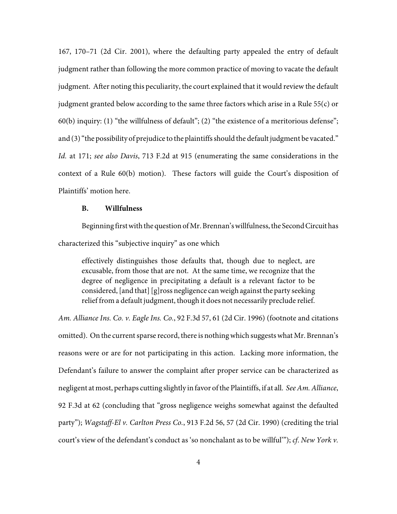167, 170–71 (2d Cir. 2001), where the defaulting party appealed the entry of default judgment rather than following the more common practice of moving to vacate the default judgment. After noting this peculiarity, the court explained that it would review the default judgment granted below according to the same three factors which arise in a Rule 55(c) or 60(b) inquiry: (1) "the willfulness of default"; (2) "the existence of a meritorious defense"; and (3) "the possibility of prejudice to the plaintiffs should the default judgment be vacated." *Id.* at 171; *see also Davis*, 713 F.2d at 915 (enumerating the same considerations in the context of a Rule 60(b) motion). These factors will guide the Court's disposition of Plaintiffs' motion here.

#### **B. Willfulness**

Beginning first with the question of Mr. Brennan's willfulness, the Second Circuit has characterized this "subjective inquiry" as one which

effectively distinguishes those defaults that, though due to neglect, are excusable, from those that are not. At the same time, we recognize that the degree of negligence in precipitating a default is a relevant factor to be considered, [and that] [g]ross negligence can weigh against the party seeking relief from a default judgment, though it does not necessarily preclude relief.

*Am. Alliance Ins. Co. v. Eagle Ins. Co.*, 92 F.3d 57, 61 (2d Cir. 1996) (footnote and citations omitted). On the current sparse record, there is nothing which suggests what Mr. Brennan's reasons were or are for not participating in this action. Lacking more information, the Defendant's failure to answer the complaint after proper service can be characterized as negligent at most, perhaps cutting slightly in favor of the Plaintiffs, if at all. *SeeAm. Alliance*, 92 F.3d at 62 (concluding that "gross negligence weighs somewhat against the defaulted party"); *Wagstaff-El v. Carlton Press Co.*, 913 F.2d 56, 57 (2d Cir. 1990) (crediting the trial court's view of the defendant's conduct as 'so nonchalant as to be willful'"); *cf*. *New York v.*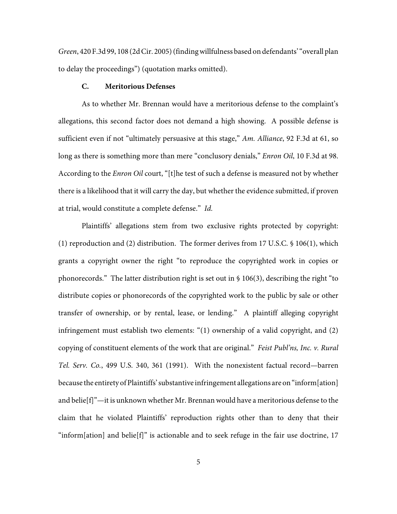*Green*, 420 F.3d 99, 108 (2d Cir. 2005) (finding willfulness based on defendants' "overall plan to delay the proceedings") (quotation marks omitted).

#### **C. Meritorious Defenses**

As to whether Mr. Brennan would have a meritorious defense to the complaint's allegations, this second factor does not demand a high showing. A possible defense is sufficient even if not "ultimately persuasive at this stage," *Am. Alliance*, 92 F.3d at 61, so long as there is something more than mere "conclusory denials," *Enron Oil*, 10 F.3d at 98. According to the *Enron Oil* court, "[t]he test of such a defense is measured not by whether there is a likelihood that it will carry the day, but whether the evidence submitted, if proven at trial, would constitute a complete defense." *Id.*

Plaintiffs' allegations stem from two exclusive rights protected by copyright: (1) reproduction and (2) distribution. The former derives from 17 U.S.C. § 106(1), which grants a copyright owner the right "to reproduce the copyrighted work in copies or phonorecords." The latter distribution right is set out in § 106(3), describing the right "to distribute copies or phonorecords of the copyrighted work to the public by sale or other transfer of ownership, or by rental, lease, or lending." A plaintiff alleging copyright infringement must establish two elements: "(1) ownership of a valid copyright, and (2) copying of constituent elements of the work that are original." *Feist Publ'ns, Inc. v. Rural Tel. Serv. Co.*, 499 U.S. 340, 361 (1991). With the nonexistent factual record—barren because the entirety of Plaintiffs' substantive infringement allegations are on "inform[ation] and belie[f]"—it is unknown whether Mr. Brennan would have a meritorious defense to the claim that he violated Plaintiffs' reproduction rights other than to deny that their "inform[ation] and belie[f]" is actionable and to seek refuge in the fair use doctrine, 17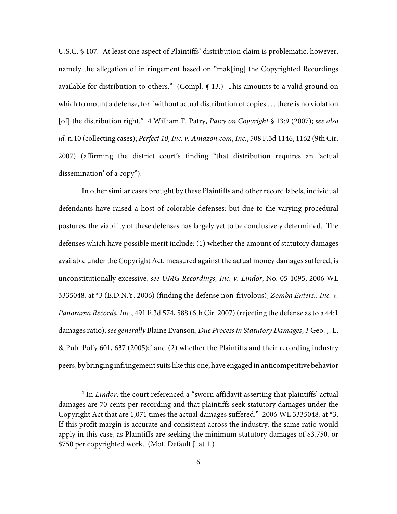U.S.C. § 107. At least one aspect of Plaintiffs' distribution claim is problematic, however, namely the allegation of infringement based on "mak[ing] the Copyrighted Recordings available for distribution to others." (Compl.  $\P$  13.) This amounts to a valid ground on which to mount a defense, for "without actual distribution of copies . . . there is no violation [of] the distribution right." 4 William F. Patry, *Patry on Copyright* § 13:9 (2007); *see also id.* n.10 (collecting cases); *Perfect 10, Inc. v. Amazon.com, Inc.*, 508 F.3d 1146, 1162 (9th Cir. 2007) (affirming the district court's finding "that distribution requires an 'actual dissemination' of a copy").

In other similar cases brought by these Plaintiffs and other record labels, individual defendants have raised a host of colorable defenses; but due to the varying procedural postures, the viability of these defenses has largely yet to be conclusively determined. The defenses which have possible merit include: (1) whether the amount of statutory damages available under the Copyright Act, measured against the actual money damages suffered, is unconstitutionally excessive, *see UMG Recordings, Inc. v. Lindor*, No. 05-1095, 2006 WL 3335048, at \*3 (E.D.N.Y. 2006) (finding the defense non-frivolous); *Zomba Enters., Inc. v. Panorama Records, Inc.*, 491 F.3d 574, 588 (6th Cir. 2007) (rejecting the defense as to a 44:1 damages ratio); *see generally* Blaine Evanson, *Due Process in Statutory Damages*, 3 Geo. J. L. & Pub. Pol'y 601, 637 (2005);<sup>2</sup> and (2) whether the Plaintiffs and their recording industry peers, by bringing infringement suits like this one, have engaged in anticompetitive behavior

<sup>&</sup>lt;sup>2</sup> In *Lindor*, the court referenced a "sworn affidavit asserting that plaintiffs' actual damages are 70 cents per recording and that plaintiffs seek statutory damages under the Copyright Act that are 1,071 times the actual damages suffered." 2006 WL 3335048, at \*3. If this profit margin is accurate and consistent across the industry, the same ratio would apply in this case, as Plaintiffs are seeking the minimum statutory damages of \$3,750, or \$750 per copyrighted work. (Mot. Default J. at 1.)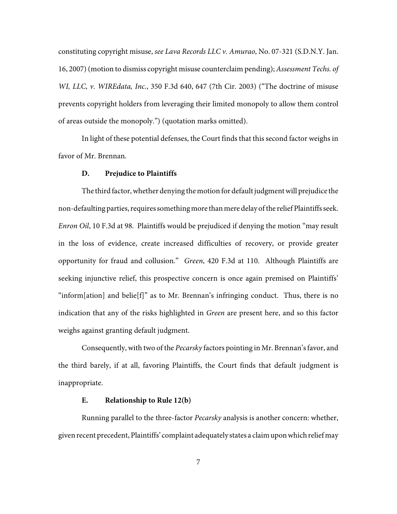constituting copyright misuse, *see Lava Records LLC v. Amurao*, No. 07-321 (S.D.N.Y. Jan. 16, 2007) (motion to dismiss copyright misuse counterclaim pending); *Assessment Techs. of WI, LLC, v. WIREdata, Inc.*, 350 F.3d 640, 647 (7th Cir. 2003) ("The doctrine of misuse prevents copyright holders from leveraging their limited monopoly to allow them control of areas outside the monopoly.") (quotation marks omitted).

In light of these potential defenses, the Court finds that this second factor weighs in favor of Mr. Brennan.

#### **D. Prejudice to Plaintiffs**

The third factor, whether denying the motion for default judgment will prejudice the non-defaulting parties, requires something more than mere delay of the relief Plaintiffs seek. *Enron Oil*, 10 F.3d at 98. Plaintiffs would be prejudiced if denying the motion "may result in the loss of evidence, create increased difficulties of recovery, or provide greater opportunity for fraud and collusion." *Green*, 420 F.3d at 110. Although Plaintiffs are seeking injunctive relief, this prospective concern is once again premised on Plaintiffs' "inform[ation] and belie[f]" as to Mr. Brennan's infringing conduct. Thus, there is no indication that any of the risks highlighted in *Green* are present here, and so this factor weighs against granting default judgment.

Consequently, with two of the *Pecarsky* factors pointing in Mr. Brennan'sfavor, and the third barely, if at all, favoring Plaintiffs, the Court finds that default judgment is inappropriate.

#### **E. Relationship to Rule 12(b)**

Running parallel to the three-factor *Pecarsky* analysis is another concern: whether, given recent precedent, Plaintiffs' complaint adequately states a claim upon which relief may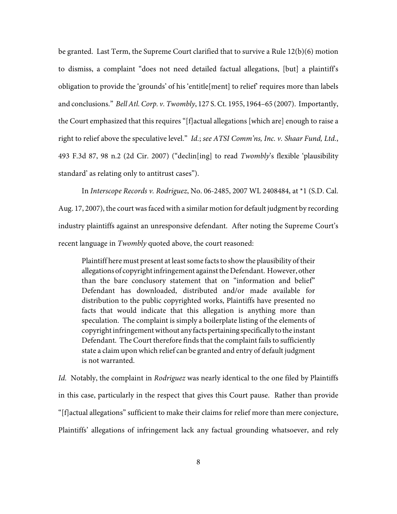be granted. Last Term, the Supreme Court clarified that to survive a Rule 12(b)(6) motion to dismiss, a complaint "does not need detailed factual allegations, [but] a plaintiff's obligation to provide the 'grounds' of his 'entitle[ment] to relief' requires more than labels and conclusions." *Bell Atl. Corp. v. Twombly*, 127 S. Ct. 1955, 1964–65 (2007). Importantly, the Court emphasized that this requires "[f]actual allegations [which are] enough to raise a right to relief above the speculative level." *Id.*; *see ATSI Comm'ns, Inc. v. Shaar Fund, Ltd.*, 493 F.3d 87, 98 n.2 (2d Cir. 2007) ("declin[ing] to read *Twombly*'s flexible 'plausibility standard' as relating only to antitrust cases").

In *Interscope Records v. Rodriguez*, No. 06-2485, 2007 WL 2408484, at \*1 (S.D. Cal. Aug. 17, 2007), the court was faced with a similar motion for default judgment by recording industry plaintiffs against an unresponsive defendant. After noting the Supreme Court's recent language in *Twombly* quoted above, the court reasoned:

Plaintiff here must present at least some facts to show the plausibility of their allegations of copyright infringement against the Defendant. However, other than the bare conclusory statement that on "information and belief" Defendant has downloaded, distributed and/or made available for distribution to the public copyrighted works, Plaintiffs have presented no facts that would indicate that this allegation is anything more than speculation. The complaint is simply a boilerplate listing of the elements of copyright infringement without any facts pertaining specifically to the instant Defendant. The Court therefore finds that the complaint fails to sufficiently state a claim upon which relief can be granted and entry of default judgment is not warranted.

*Id.* Notably, the complaint in *Rodriguez* was nearly identical to the one filed by Plaintiffs in this case, particularly in the respect that gives this Court pause. Rather than provide "[f]actual allegations" sufficient to make their claims for relief more than mere conjecture, Plaintiffs' allegations of infringement lack any factual grounding whatsoever, and rely